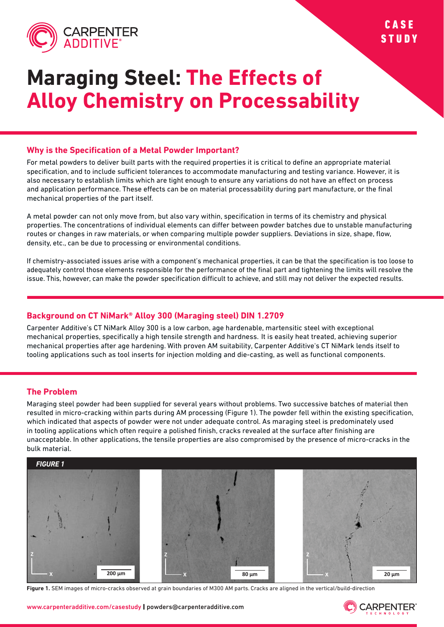

# **Maraging Steel: The Effects of Alloy Chemistry on Processability**

### **Why is the Specification of a Metal Powder Important?**

For metal powders to deliver built parts with the required properties it is critical to define an appropriate material specification, and to include sufficient tolerances to accommodate manufacturing and testing variance. However, it is also necessary to establish limits which are tight enough to ensure any variations do not have an effect on process and application performance. These effects can be on material processability during part manufacture, or the final mechanical properties of the part itself.

A metal powder can not only move from, but also vary within, specification in terms of its chemistry and physical properties. The concentrations of individual elements can differ between powder batches due to unstable manufacturing routes or changes in raw materials, or when comparing multiple powder suppliers. Deviations in size, shape, flow, density, etc., can be due to processing or environmental conditions.

If chemistry-associated issues arise with a component's mechanical properties, it can be that the specification is too loose to adequately control those elements responsible for the performance of the final part and tightening the limits will resolve the issue. This, however, can make the powder specification difficult to achieve, and still may not deliver the expected results.

### **Background on CT NiMark® Alloy 300 (Maraging steel) DIN 1.2709**

Carpenter Additive's CT NiMark Alloy 300 is a low carbon, age hardenable, martensitic steel with exceptional mechanical properties, specifically a high tensile strength and hardness. It is easily heat treated, achieving superior mechanical properties after age hardening. With proven AM suitability, Carpenter Additive's CT NiMark lends itself to tooling applications such as tool inserts for injection molding and die-casting, as well as functional components.

### **The Problem**

Maraging steel powder had been supplied for several years without problems. Two successive batches of material then resulted in micro-cracking within parts during AM processing (Figure 1). The powder fell within the existing specification, which indicated that aspects of powder were not under adequate control. As maraging steel is predominately used in tooling applications which often require a polished finish, cracks revealed at the surface after finishing are unacceptable. In other applications, the tensile properties are also compromised by the presence of micro-cracks in the bulk material.



**Figure 1.** SEM images of micro-cracks observed at grain boundaries of M300 AM parts. Cracks are aligned in the vertical/build-direction

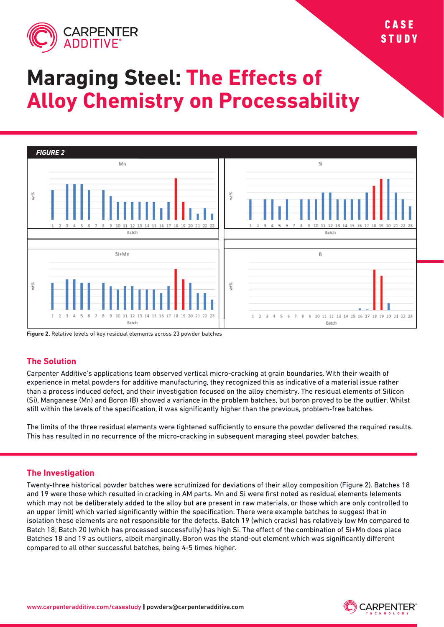

# **Maraging Steel: The Effects of Alloy Chemistry on Processability**



**Figure 2.** Relative levels of key residual elements across 23 powder batches

#### **The Solution**

Carpenter Additive's applications team observed vertical micro-cracking at grain boundaries. With their wealth of experience in metal powders for additive manufacturing, they recognized this as indicative of a material issue rather than a process induced defect, and their investigation focused on the alloy chemistry. The residual elements of Silicon (Si), Manganese (Mn) and Boron (B) showed a variance in the problem batches, but boron proved to be the outlier. Whilst still within the levels of the specification, it was significantly higher than the previous, problem-free batches.

The limits of the three residual elements were tightened sufficiently to ensure the powder delivered the required results. This has resulted in no recurrence of the micro-cracking in subsequent maraging steel powder batches.

#### **The Investigation**

Twenty-three historical powder batches were scrutinized for deviations of their alloy composition (Figure 2). Batches 18 and 19 were those which resulted in cracking in AM parts. Mn and Si were first noted as residual elements (elements which may not be deliberately added to the alloy but are present in raw materials, or those which are only controlled to an upper limit) which varied significantly within the specification. There were example batches to suggest that in isolation these elements are not responsible for the defects. Batch 19 (which cracks) has relatively low Mn compared to Batch 18; Batch 20 (which has processed successfully) has high Si. The effect of the combination of Si+Mn does place Batches 18 and 19 as outliers, albeit marginally. Boron was the stand-out element which was significantly different compared to all other successful batches, being 4-5 times higher.